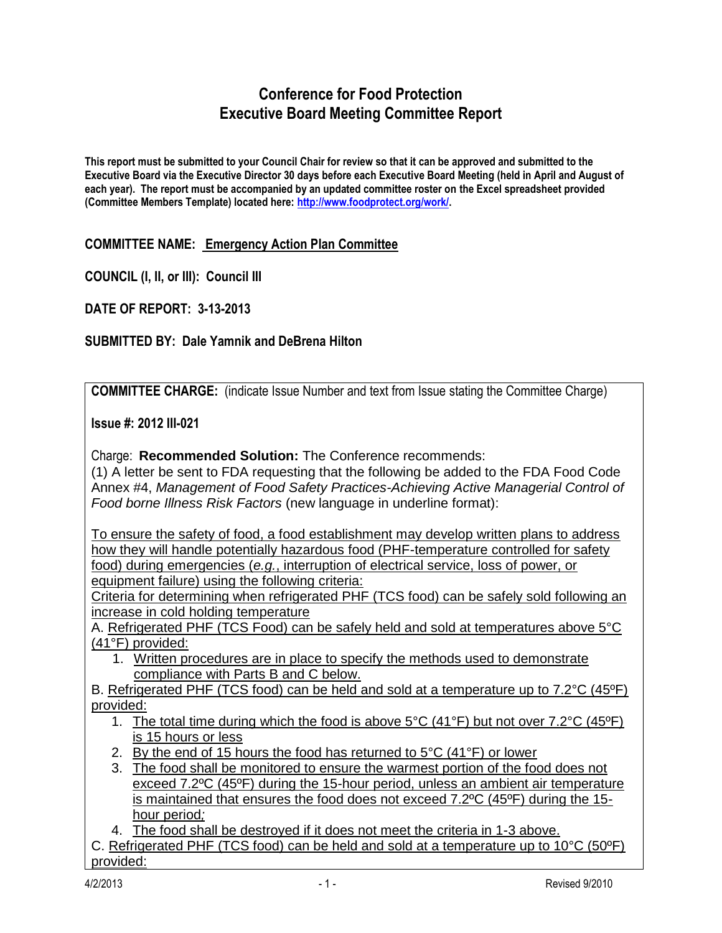# **Conference for Food Protection Executive Board Meeting Committee Report**

**This report must be submitted to your Council Chair for review so that it can be approved and submitted to the Executive Board via the Executive Director 30 days before each Executive Board Meeting (held in April and August of each year). The report must be accompanied by an updated committee roster on the Excel spreadsheet provided (Committee Members Template) located here: [http://www.foodprotect.org/work/.](http://www.foodprotect.org/work/)**

### **COMMITTEE NAME: Emergency Action Plan Committee**

**COUNCIL (I, II, or III): Council III**

**DATE OF REPORT: 3-13-2013**

### **SUBMITTED BY: Dale Yamnik and DeBrena Hilton**

**COMMITTEE CHARGE:** (indicate Issue Number and text from Issue stating the Committee Charge)

**Issue #: 2012 III-021**

Charge: **Recommended Solution:** The Conference recommends:

(1) A letter be sent to FDA requesting that the following be added to the FDA Food Code Annex #4, *Management of Food Safety Practices-Achieving Active Managerial Control of Food borne Illness Risk Factors* (new language in underline format):

To ensure the safety of food, a food establishment may develop written plans to address how they will handle potentially hazardous food (PHF-temperature controlled for safety food) during emergencies (*e.g.*, interruption of electrical service, loss of power, or equipment failure) using the following criteria:

Criteria for determining when refrigerated PHF (TCS food) can be safely sold following an increase in cold holding temperature

A. Refrigerated PHF (TCS Food) can be safely held and sold at temperatures above 5°C (41°F) provided:

1. Written procedures are in place to specify the methods used to demonstrate compliance with Parts B and C below.

B. Refrigerated PHF (TCS food) can be held and sold at a temperature up to 7.2°C (45ºF) provided:

- 1. The total time during which the food is above 5°C (41°F) but not over 7.2°C (45ºF) is 15 hours or less
- 2. By the end of 15 hours the food has returned to  $5^{\circ}$ C (41 $^{\circ}$ F) or lower
- 3. The food shall be monitored to ensure the warmest portion of the food does not exceed 7.2ºC (45ºF) during the 15-hour period, unless an ambient air temperature is maintained that ensures the food does not exceed 7.2ºC (45ºF) during the 15 hour period*;*

4. The food shall be destroyed if it does not meet the criteria in 1-3 above.

C. Refrigerated PHF (TCS food) can be held and sold at a temperature up to 10°C (50ºF) provided: